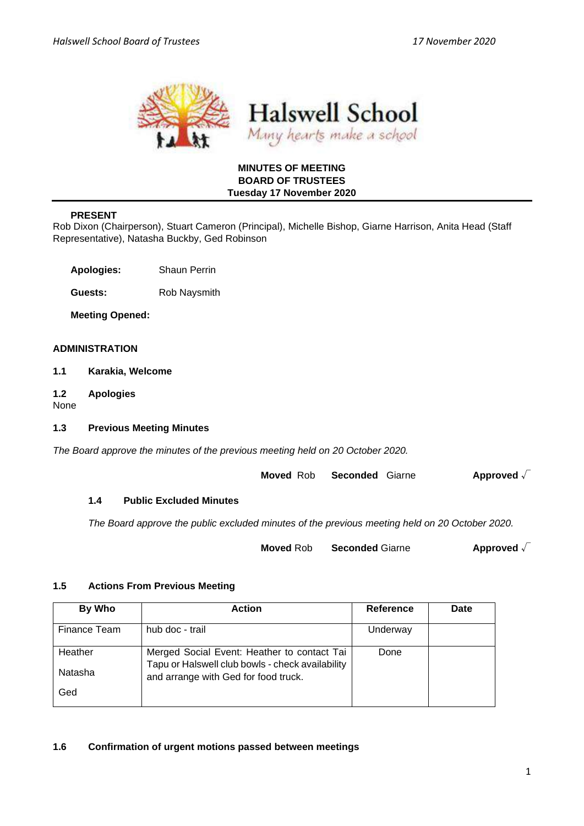

# **MINUTES OF MEETING BOARD OF TRUSTEES Tuesday 17 November 2020**

# **PRESENT**

Rob Dixon (Chairperson), Stuart Cameron (Principal), Michelle Bishop, Giarne Harrison, Anita Head (Staff Representative), Natasha Buckby, Ged Robinson

**Apologies:** Shaun Perrin

**Guests:** Rob Naysmith

**Meeting Opened:** 

# **ADMINISTRATION**

- **1.1 Karakia, Welcome**
- **1.2 Apologies**

None

# **1.3 Previous Meeting Minutes**

*The Board approve the minutes of the previous meeting held on 20 October 2020.* 

**Moved** Rob **Seconded** Giarne **Approved** √

# **1.4 Public Excluded Minutes**

*The Board approve the public excluded minutes of the previous meeting held on 20 October 2020.* 

**Moved** Rob **Seconded** Giarne **Approved** √

# **1.5 Actions From Previous Meeting**

| By Who             | <b>Action</b>                                                                                                                           | Reference | Date |
|--------------------|-----------------------------------------------------------------------------------------------------------------------------------------|-----------|------|
| Finance Team       | hub doc - trail                                                                                                                         | Underway  |      |
| Heather<br>Natasha | Merged Social Event: Heather to contact Tai<br>Tapu or Halswell club bowls - check availability<br>and arrange with Ged for food truck. | Done      |      |
| Ged                |                                                                                                                                         |           |      |

# **1.6 Confirmation of urgent motions passed between meetings**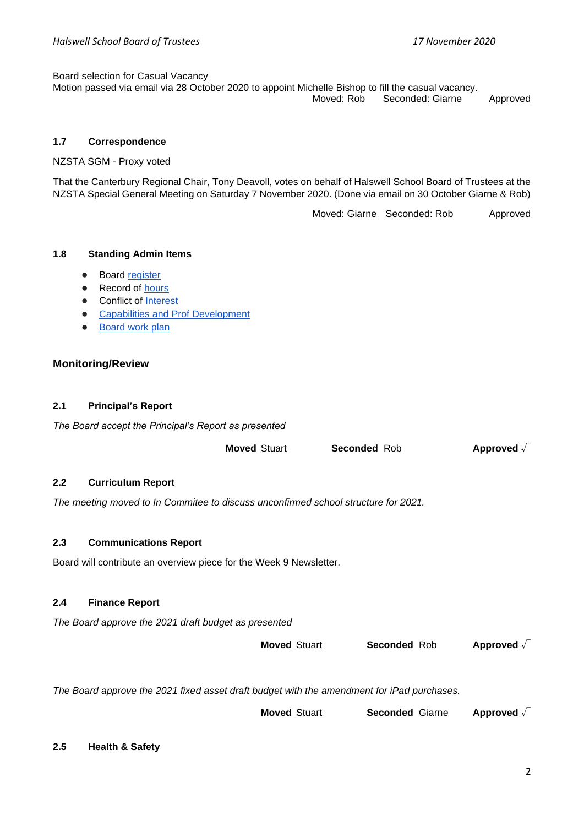#### Board selection for Casual Vacancy

Motion passed via email via 28 October 2020 to appoint Michelle Bishop to fill the casual vacancy. Moved: Rob Seconded: Giarne Approved

### **1.7 Correspondence**

NZSTA SGM - Proxy voted

That the Canterbury Regional Chair, Tony Deavoll, votes on behalf of Halswell School Board of Trustees at the NZSTA Special General Meeting on Saturday 7 November 2020. (Done via email on 30 October Giarne & Rob)

Moved: Giarne Seconded: Rob Approved

## **1.8 Standing Admin Items**

- Boar[d](https://drive.google.com/open?id=1LgYeP3fbHNJrrdwtKhmni7bUn5KZf6AdawXvp-8GM5I) [register](https://drive.google.com/open?id=1LgYeP3fbHNJrrdwtKhmni7bUn5KZf6AdawXvp-8GM5I)
- Record o[f](https://docs.google.com/spreadsheets/d/1ooqHmfuVcjAxJj74l2cyNrLx6E1GWjN2CMAD-VWrSTk/edit#gid=1585903216) hours
- Con[f](https://drive.google.com/open?id=1LpqgUK6iwhrXOSzvrxmLTcgpA-wsuZg7DU-aIw9nGAw)lict of [Interest](https://drive.google.com/open?id=1LpqgUK6iwhrXOSzvrxmLTcgpA-wsuZg7DU-aIw9nGAw)
- **[Capabilities and Prof Development](https://drive.google.com/open?id=1Vq0YrIsDwmndZRHvvGvFtK1YOlEWlifxCfIAxHaVDlo)**
- [Board work plan](https://docs.google.com/document/d/16WAgjXfZuFQ9Un3Lb7bJ9NQj9tU1J26Koes3jzuU9jQ/edit)

## **Monitoring/Review**

# **2.1 Principal's Report**

*The Board accept the Principal's Report as presented* 

|                  |                                                                                            | <b>Moved Stuart</b> | <b>Seconded Rob</b>    | Approved $\sqrt{}$  |
|------------------|--------------------------------------------------------------------------------------------|---------------------|------------------------|---------------------|
| $2.2\phantom{0}$ | <b>Curriculum Report</b>                                                                   |                     |                        |                     |
|                  | The meeting moved to In Commitee to discuss unconfirmed school structure for 2021.         |                     |                        |                     |
| 2.3              | <b>Communications Report</b>                                                               |                     |                        |                     |
|                  | Board will contribute an overview piece for the Week 9 Newsletter.                         |                     |                        |                     |
| 2.4              | <b>Finance Report</b>                                                                      |                     |                        |                     |
|                  | The Board approve the 2021 draft budget as presented                                       |                     |                        |                     |
|                  |                                                                                            | <b>Moved Stuart</b> | <b>Seconded Rob</b>    | Approved $\sqrt{ }$ |
|                  | The Board approve the 2021 fixed asset draft budget with the amendment for iPad purchases. |                     |                        |                     |
|                  |                                                                                            | <b>Moved Stuart</b> | <b>Seconded Giarne</b> | Approved $\sqrt{ }$ |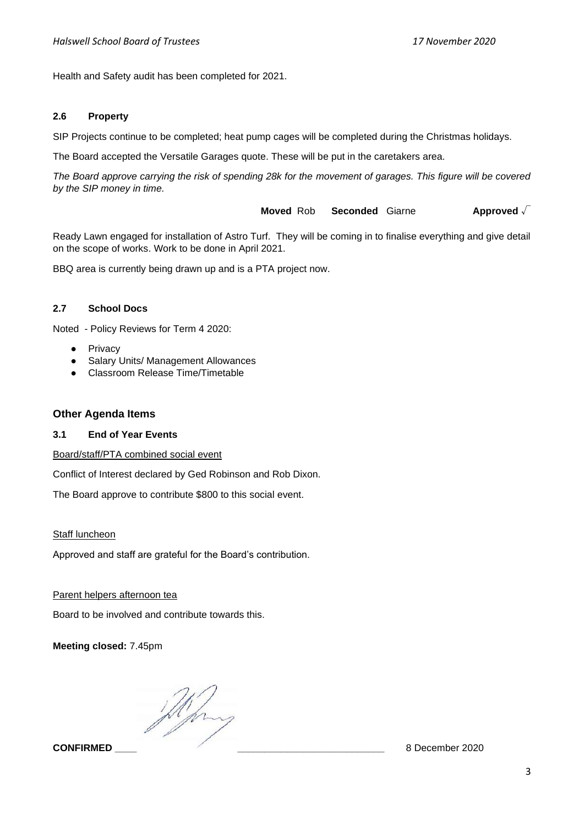Health and Safety audit has been completed for 2021.

# **2.6 Property**

SIP Projects continue to be completed; heat pump cages will be completed during the Christmas holidays.

The Board accepted the Versatile Garages quote. These will be put in the caretakers area.

*The Board approve carrying the risk of spending 28k for the movement of garages. This figure will be covered by the SIP money in time.* 

**Moved** Rob **Seconded** Giarne **Approved** √

Ready Lawn engaged for installation of Astro Turf. They will be coming in to finalise everything and give detail on the scope of works. Work to be done in April 2021.

BBQ area is currently being drawn up and is a PTA project now.

## **2.7 School Docs**

Noted - Policy Reviews for Term 4 2020:

- Privacy
- Salary Units/ Management Allowances
- Classroom Release Time/Timetable

# **Other Agenda Items**

#### **3.1 End of Year Events**

Board/staff/PTA combined social event

Conflict of Interest declared by Ged Robinson and Rob Dixon.

The Board approve to contribute \$800 to this social event.

#### Staff luncheon

Approved and staff are grateful for the Board's contribution.

# Parent helpers afternoon tea

Board to be involved and contribute towards this.

**Meeting closed:** 7.45pm

flying

**CONFIRMED** 8 December 2020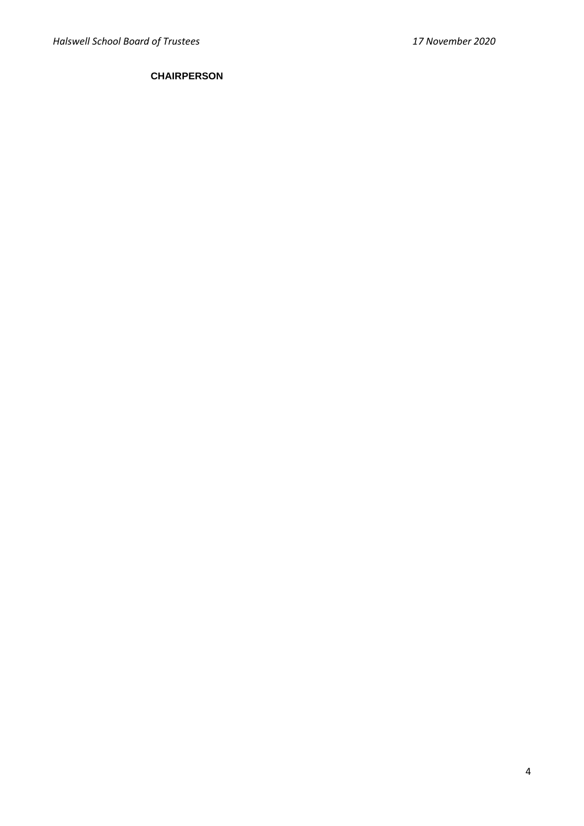# **CHAIRPERSON**